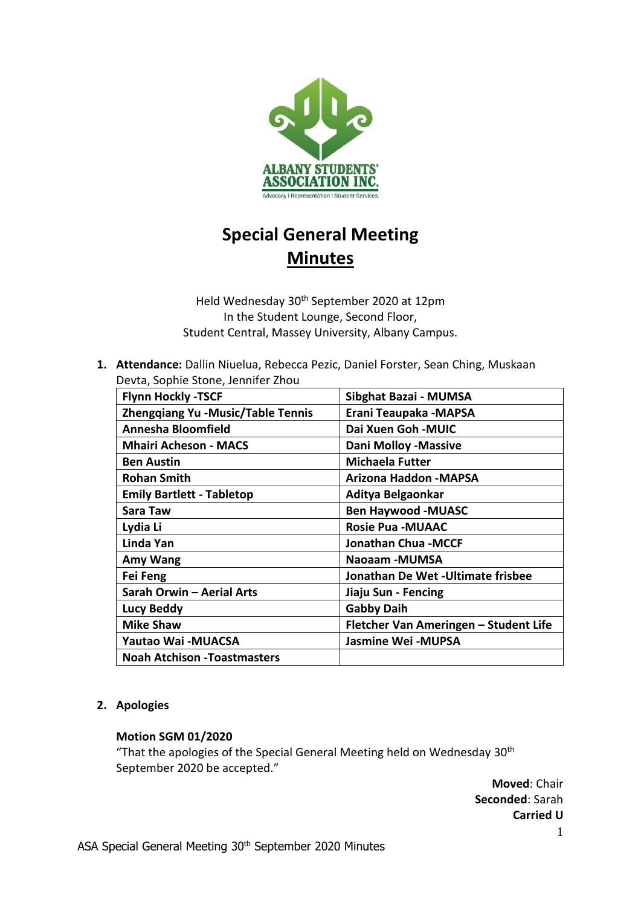

# **Special General Meeting Minutes**

Held Wednesday 30th September 2020 at 12pm In the Student Lounge, Second Floor, Student Central, Massey University, Albany Campus.

**1. Attendance:** Dallin Niuelua, Rebecca Pezic, Daniel Forster, Sean Ching, Muskaan Devta, Sophie Stone, Jennifer Zhou

| <b>Flynn Hockly -TSCF</b>                | Sibghat Bazai - MUMSA                 |
|------------------------------------------|---------------------------------------|
| <b>Zhengqiang Yu -Music/Table Tennis</b> | Erani Teaupaka - MAPSA                |
| Annesha Bloomfield                       | Dai Xuen Goh - MUIC                   |
| <b>Mhairi Acheson - MACS</b>             | <b>Dani Molloy -Massive</b>           |
| <b>Ben Austin</b>                        | <b>Michaela Futter</b>                |
| <b>Rohan Smith</b>                       | Arizona Haddon - MAPSA                |
| <b>Emily Bartlett - Tabletop</b>         | Aditya Belgaonkar                     |
| Sara Taw                                 | <b>Ben Haywood -MUASC</b>             |
| Lydia Li                                 | <b>Rosie Pua - MUAAC</b>              |
| Linda Yan                                | <b>Jonathan Chua - MCCF</b>           |
| Amy Wang                                 | Naoaam -MUMSA                         |
| Fei Feng                                 | Jonathan De Wet - Ultimate frisbee    |
| Sarah Orwin - Aerial Arts                | Jiaju Sun - Fencing                   |
| <b>Lucy Beddy</b>                        | <b>Gabby Daih</b>                     |
| <b>Mike Shaw</b>                         | Fletcher Van Ameringen - Student Life |
| Yautao Wai - MUACSA                      | <b>Jasmine Wei -MUPSA</b>             |
| <b>Noah Atchison - Toastmasters</b>      |                                       |

#### **2. Apologies**

#### **Motion SGM 01/2020**

"That the apologies of the Special General Meeting held on Wednesday  $30<sup>th</sup>$ September 2020 be accepted."

> **Moved**: Chair **Seconded**: Sarah **Carried U**